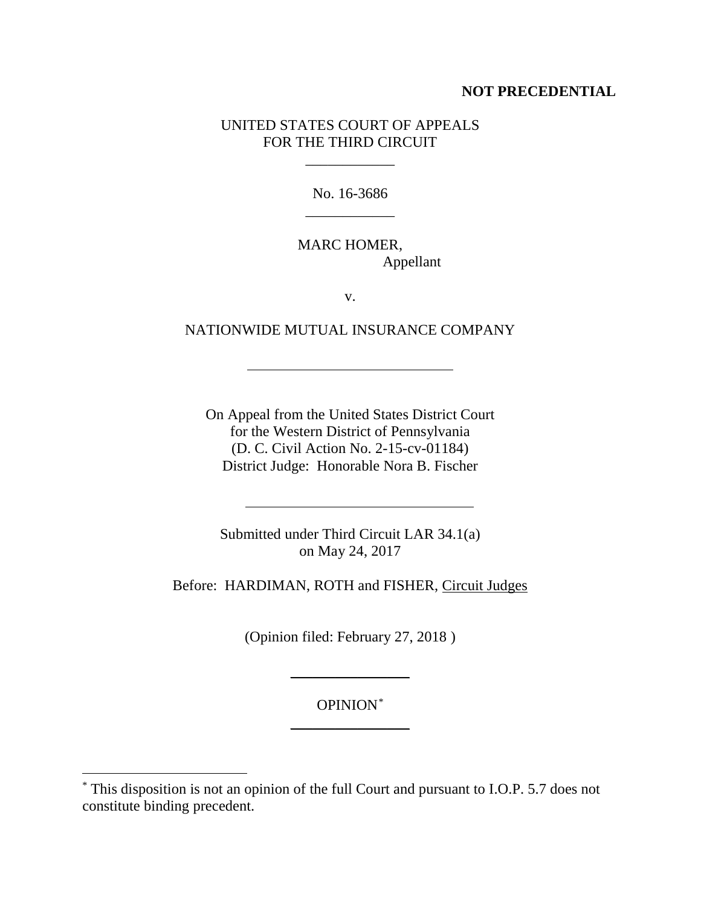## **NOT PRECEDENTIAL**

## UNITED STATES COURT OF APPEALS FOR THE THIRD CIRCUIT

\_\_\_\_\_\_\_\_\_\_\_\_

No. 16-3686 \_\_\_\_\_\_\_\_\_\_\_\_

MARC HOMER, Appellant

v.

NATIONWIDE MUTUAL INSURANCE COMPANY

On Appeal from the United States District Court for the Western District of Pennsylvania (D. C. Civil Action No. 2-15-cv-01184) District Judge: Honorable Nora B. Fischer

Submitted under Third Circuit LAR 34.1(a) on May 24, 2017

Before: HARDIMAN, ROTH and FISHER, Circuit Judges

(Opinion filed: February 27, 2018 )

OPINION[\\*](#page-0-0) \_\_\_\_\_\_\_\_\_\_\_\_\_\_\_\_

 $\overline{\phantom{a}}$  , where  $\overline{\phantom{a}}$ 

<span id="page-0-0"></span> <sup>\*</sup> This disposition is not an opinion of the full Court and pursuant to I.O.P. 5.7 does not constitute binding precedent.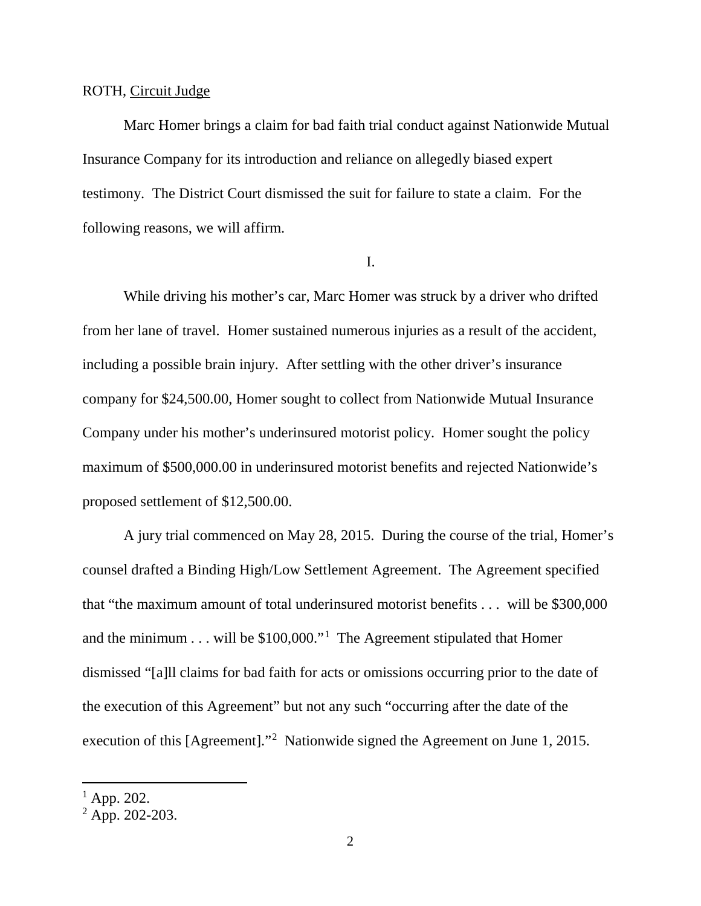#### ROTH, Circuit Judge

Marc Homer brings a claim for bad faith trial conduct against Nationwide Mutual Insurance Company for its introduction and reliance on allegedly biased expert testimony. The District Court dismissed the suit for failure to state a claim. For the following reasons, we will affirm.

#### I.

While driving his mother's car, Marc Homer was struck by a driver who drifted from her lane of travel. Homer sustained numerous injuries as a result of the accident, including a possible brain injury. After settling with the other driver's insurance company for \$24,500.00, Homer sought to collect from Nationwide Mutual Insurance Company under his mother's underinsured motorist policy. Homer sought the policy maximum of \$500,000.00 in underinsured motorist benefits and rejected Nationwide's proposed settlement of \$12,500.00.

A jury trial commenced on May 28, 2015. During the course of the trial, Homer's counsel drafted a Binding High/Low Settlement Agreement. The Agreement specified that "the maximum amount of total underinsured motorist benefits . . . will be \$300,000 and the minimum . . . will be \$100,000."[1](#page-1-0) The Agreement stipulated that Homer dismissed "[a]ll claims for bad faith for acts or omissions occurring prior to the date of the execution of this Agreement" but not any such "occurring after the date of the execution of this [Agreement]."<sup>[2](#page-1-1)</sup> Nationwide signed the Agreement on June 1, 2015.

<span id="page-1-0"></span> $1$  App. 202.

<span id="page-1-1"></span> $2$  App. 202-203.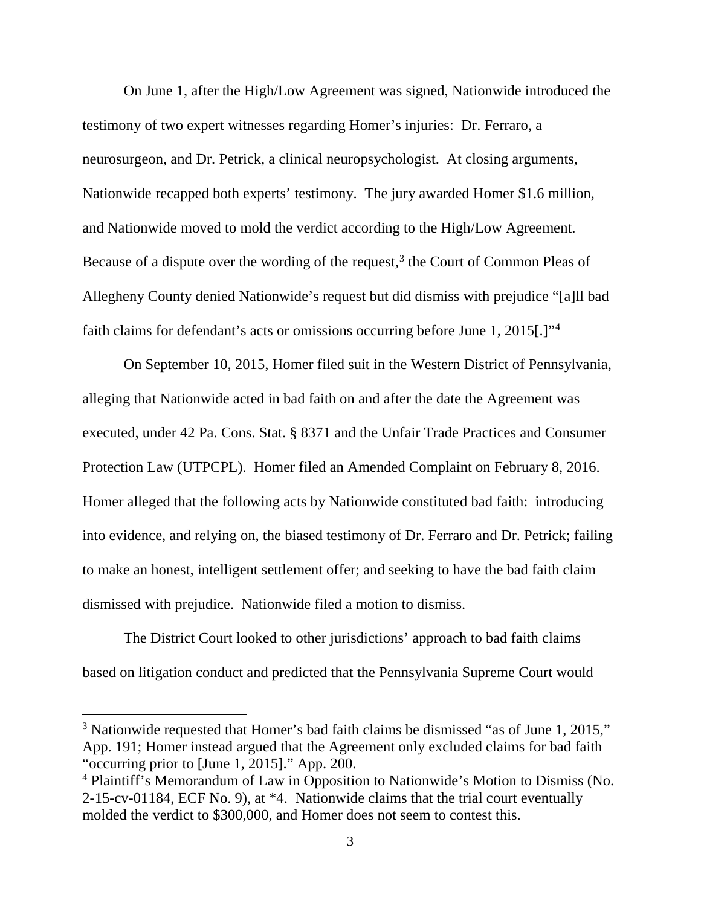On June 1, after the High/Low Agreement was signed, Nationwide introduced the testimony of two expert witnesses regarding Homer's injuries: Dr. Ferraro, a neurosurgeon, and Dr. Petrick, a clinical neuropsychologist. At closing arguments, Nationwide recapped both experts' testimony. The jury awarded Homer \$1.6 million, and Nationwide moved to mold the verdict according to the High/Low Agreement. Because of a dispute over the wording of the request,  $3$  the Court of Common Pleas of Allegheny County denied Nationwide's request but did dismiss with prejudice "[a]ll bad faith claims for defendant's acts or omissions occurring before June 1, 2015[.]"<sup>[4](#page-2-1)</sup>

On September 10, 2015, Homer filed suit in the Western District of Pennsylvania, alleging that Nationwide acted in bad faith on and after the date the Agreement was executed, under 42 Pa. Cons. Stat. § 8371 and the Unfair Trade Practices and Consumer Protection Law (UTPCPL). Homer filed an Amended Complaint on February 8, 2016. Homer alleged that the following acts by Nationwide constituted bad faith: introducing into evidence, and relying on, the biased testimony of Dr. Ferraro and Dr. Petrick; failing to make an honest, intelligent settlement offer; and seeking to have the bad faith claim dismissed with prejudice. Nationwide filed a motion to dismiss.

The District Court looked to other jurisdictions' approach to bad faith claims based on litigation conduct and predicted that the Pennsylvania Supreme Court would

<span id="page-2-0"></span><sup>&</sup>lt;sup>3</sup> Nationwide requested that Homer's bad faith claims be dismissed "as of June 1, 2015," App. 191; Homer instead argued that the Agreement only excluded claims for bad faith "occurring prior to [June 1, 2015]." App. 200.

<span id="page-2-1"></span><sup>4</sup> Plaintiff's Memorandum of Law in Opposition to Nationwide's Motion to Dismiss (No. 2-15-cv-01184, ECF No. 9), at \*4. Nationwide claims that the trial court eventually molded the verdict to \$300,000, and Homer does not seem to contest this.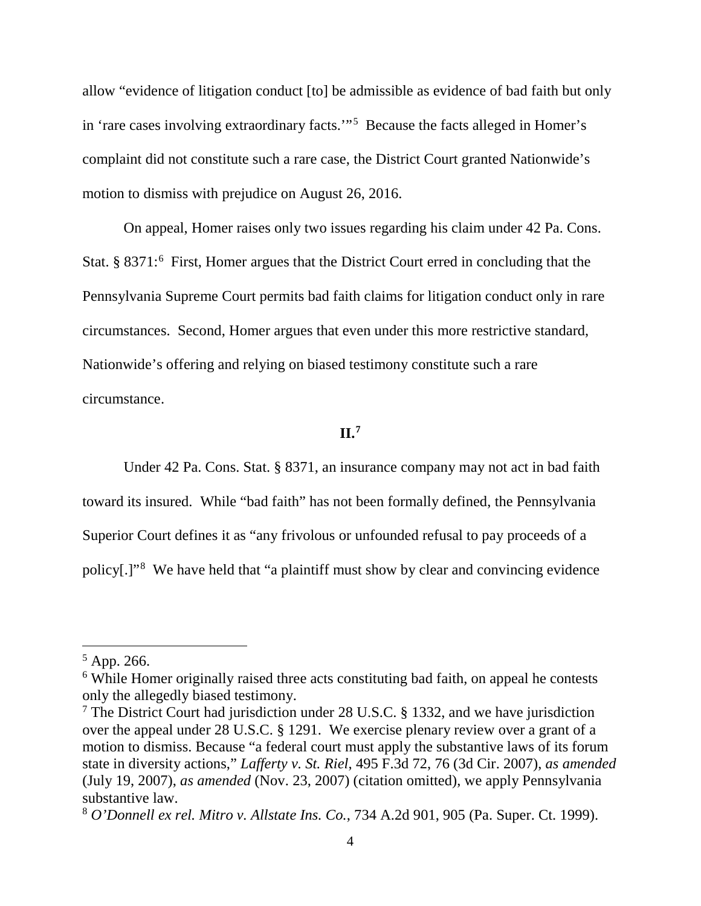allow "evidence of litigation conduct [to] be admissible as evidence of bad faith but only in 'rare cases involving extraordinary facts.'"[5](#page-3-0) Because the facts alleged in Homer's complaint did not constitute such a rare case, the District Court granted Nationwide's motion to dismiss with prejudice on August 26, 2016.

On appeal, Homer raises only two issues regarding his claim under 42 Pa. Cons. Stat. § 8371:<sup>[6](#page-3-1)</sup> First, Homer argues that the District Court erred in concluding that the Pennsylvania Supreme Court permits bad faith claims for litigation conduct only in rare circumstances. Second, Homer argues that even under this more restrictive standard, Nationwide's offering and relying on biased testimony constitute such a rare circumstance.

#### **II.[7](#page-3-2)**

Under 42 Pa. Cons. Stat. § 8371, an insurance company may not act in bad faith toward its insured. While "bad faith" has not been formally defined, the Pennsylvania Superior Court defines it as "any frivolous or unfounded refusal to pay proceeds of a policy[.]"<sup>[8](#page-3-3)</sup> We have held that "a plaintiff must show by clear and convincing evidence

<span id="page-3-0"></span> $5$  App. 266.

<span id="page-3-1"></span><sup>&</sup>lt;sup>6</sup> While Homer originally raised three acts constituting bad faith, on appeal he contests only the allegedly biased testimony.

<span id="page-3-2"></span> $7$  The District Court had jurisdiction under 28 U.S.C. § 1332, and we have jurisdiction over the appeal under 28 U.S.C. § 1291. We exercise plenary review over a grant of a motion to dismiss. Because "a federal court must apply the substantive laws of its forum state in diversity actions," *Lafferty v. St. Riel*, 495 F.3d 72, 76 (3d Cir. 2007), *as amended* (July 19, 2007), *as amended* (Nov. 23, 2007) (citation omitted), we apply Pennsylvania substantive law.

<span id="page-3-3"></span><sup>8</sup> *O'Donnell ex rel. Mitro v. Allstate Ins. Co.*, 734 A.2d 901, 905 (Pa. Super. Ct. 1999).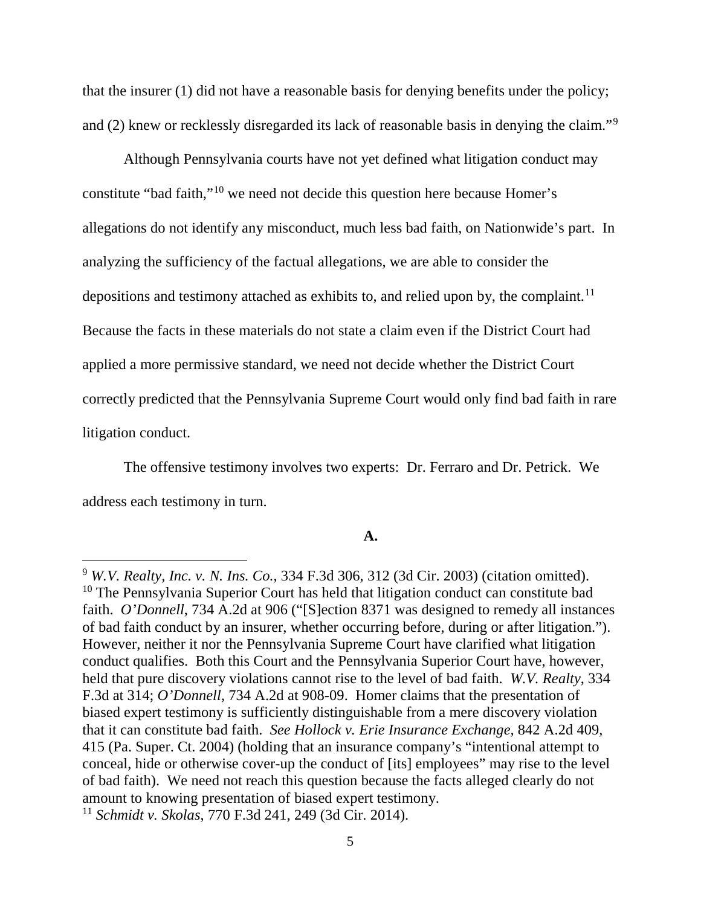that the insurer (1) did not have a reasonable basis for denying benefits under the policy; and (2) knew or recklessly disregarded its lack of reasonable basis in denying the claim."<sup>[9](#page-4-0)</sup>

Although Pennsylvania courts have not yet defined what litigation conduct may constitute "bad faith,"[10](#page-4-1) we need not decide this question here because Homer's allegations do not identify any misconduct, much less bad faith, on Nationwide's part. In analyzing the sufficiency of the factual allegations, we are able to consider the depositions and testimony attached as exhibits to, and relied upon by, the complaint.<sup>11</sup> Because the facts in these materials do not state a claim even if the District Court had applied a more permissive standard, we need not decide whether the District Court correctly predicted that the Pennsylvania Supreme Court would only find bad faith in rare litigation conduct.

The offensive testimony involves two experts: Dr. Ferraro and Dr. Petrick. We address each testimony in turn.

## **A.**

<span id="page-4-1"></span><span id="page-4-0"></span> <sup>9</sup> *W.V. Realty, Inc. v. N. Ins. Co.*, 334 F.3d 306, 312 (3d Cir. 2003) (citation omitted). <sup>10</sup> The Pennsylvania Superior Court has held that litigation conduct can constitute bad faith. *O'Donnell*, 734 A.2d at 906 ("[S]ection 8371 was designed to remedy all instances of bad faith conduct by an insurer, whether occurring before, during or after litigation."). However, neither it nor the Pennsylvania Supreme Court have clarified what litigation conduct qualifies. Both this Court and the Pennsylvania Superior Court have, however, held that pure discovery violations cannot rise to the level of bad faith. *W.V. Realty*, 334 F.3d at 314; *O'Donnell*, 734 A.2d at 908-09. Homer claims that the presentation of biased expert testimony is sufficiently distinguishable from a mere discovery violation that it can constitute bad faith. *See Hollock v. Erie Insurance Exchange,* 842 A.2d 409, 415 (Pa. Super. Ct. 2004) (holding that an insurance company's "intentional attempt to conceal, hide or otherwise cover-up the conduct of [its] employees" may rise to the level of bad faith). We need not reach this question because the facts alleged clearly do not amount to knowing presentation of biased expert testimony.

<span id="page-4-2"></span><sup>11</sup> *Schmidt v. Skolas*, 770 F.3d 241, 249 (3d Cir. 2014).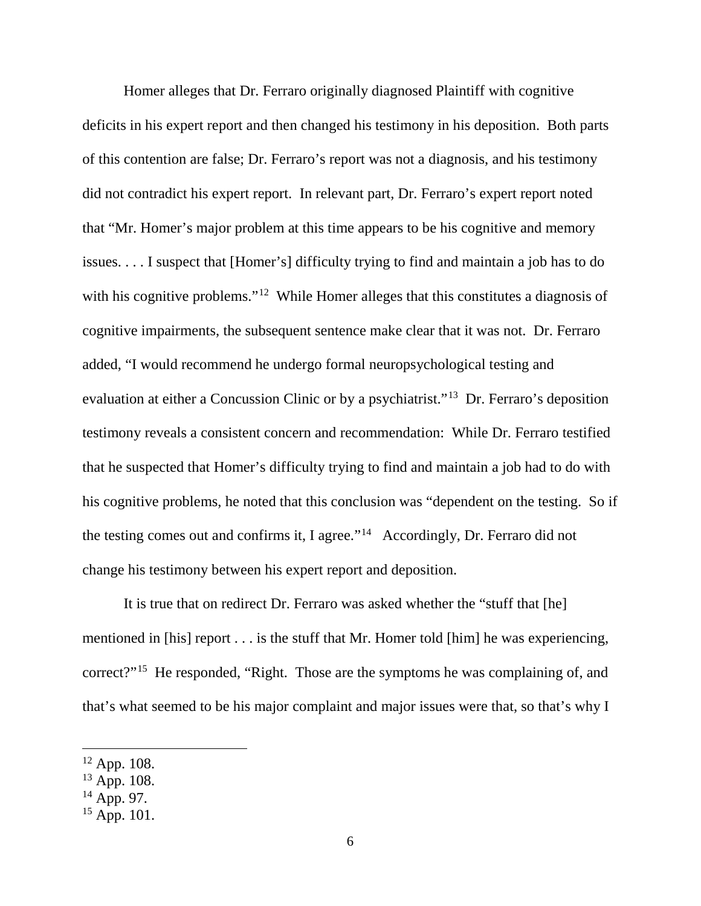Homer alleges that Dr. Ferraro originally diagnosed Plaintiff with cognitive deficits in his expert report and then changed his testimony in his deposition. Both parts of this contention are false; Dr. Ferraro's report was not a diagnosis, and his testimony did not contradict his expert report. In relevant part, Dr. Ferraro's expert report noted that "Mr. Homer's major problem at this time appears to be his cognitive and memory issues. . . . I suspect that [Homer's] difficulty trying to find and maintain a job has to do with his cognitive problems."<sup>12</sup> While Homer alleges that this constitutes a diagnosis of cognitive impairments, the subsequent sentence make clear that it was not. Dr. Ferraro added, "I would recommend he undergo formal neuropsychological testing and evaluation at either a Concussion Clinic or by a psychiatrist."[13](#page-5-1) Dr. Ferraro's deposition testimony reveals a consistent concern and recommendation: While Dr. Ferraro testified that he suspected that Homer's difficulty trying to find and maintain a job had to do with his cognitive problems, he noted that this conclusion was "dependent on the testing. So if the testing comes out and confirms it, I agree."[14](#page-5-2) Accordingly, Dr. Ferraro did not change his testimony between his expert report and deposition.

It is true that on redirect Dr. Ferraro was asked whether the "stuff that [he] mentioned in [his] report . . . is the stuff that Mr. Homer told [him] he was experiencing, correct?"[15](#page-5-3) He responded, "Right. Those are the symptoms he was complaining of, and that's what seemed to be his major complaint and major issues were that, so that's why I

<span id="page-5-0"></span> $12$  App. 108.

<span id="page-5-1"></span> $13$  App. 108.

<span id="page-5-2"></span><sup>&</sup>lt;sup>14</sup> App. 97.

<span id="page-5-3"></span> $15$  App. 101.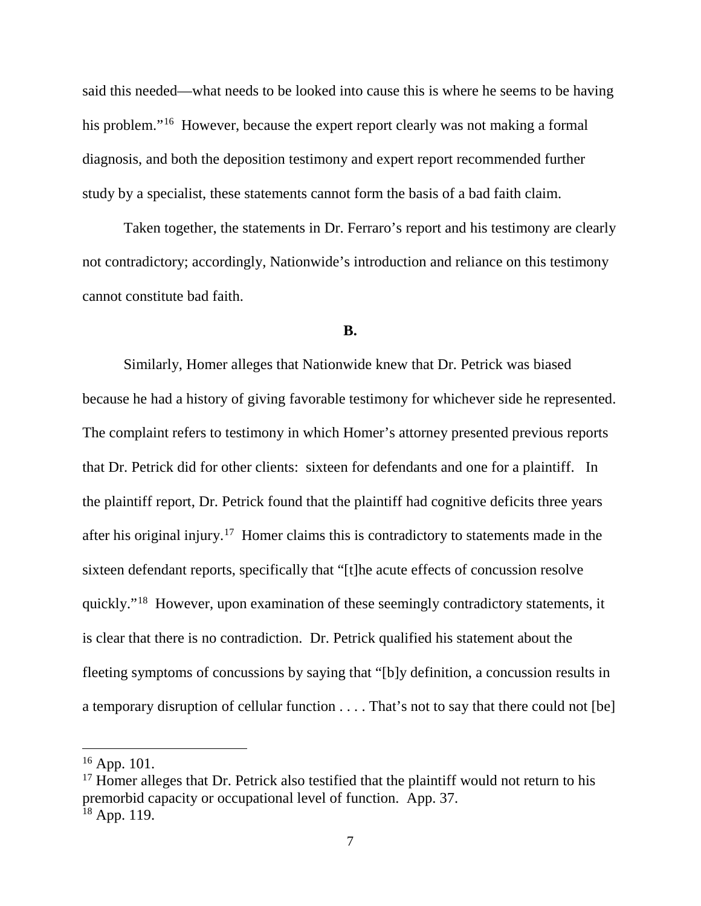said this needed—what needs to be looked into cause this is where he seems to be having his problem."<sup>16</sup> However, because the expert report clearly was not making a formal diagnosis, and both the deposition testimony and expert report recommended further study by a specialist, these statements cannot form the basis of a bad faith claim.

Taken together, the statements in Dr. Ferraro's report and his testimony are clearly not contradictory; accordingly, Nationwide's introduction and reliance on this testimony cannot constitute bad faith.

### **B.**

Similarly, Homer alleges that Nationwide knew that Dr. Petrick was biased because he had a history of giving favorable testimony for whichever side he represented. The complaint refers to testimony in which Homer's attorney presented previous reports that Dr. Petrick did for other clients: sixteen for defendants and one for a plaintiff. In the plaintiff report, Dr. Petrick found that the plaintiff had cognitive deficits three years after his original injury.[17](#page-6-1) Homer claims this is contradictory to statements made in the sixteen defendant reports, specifically that "[t]he acute effects of concussion resolve quickly."[18](#page-6-2) However, upon examination of these seemingly contradictory statements, it is clear that there is no contradiction. Dr. Petrick qualified his statement about the fleeting symptoms of concussions by saying that "[b]y definition, a concussion results in a temporary disruption of cellular function . . . . That's not to say that there could not [be]

<span id="page-6-0"></span> <sup>16</sup> App. 101.

<span id="page-6-2"></span><span id="page-6-1"></span> $17$  Homer alleges that Dr. Petrick also testified that the plaintiff would not return to his premorbid capacity or occupational level of function. App. 37.  $18$  App. 119.